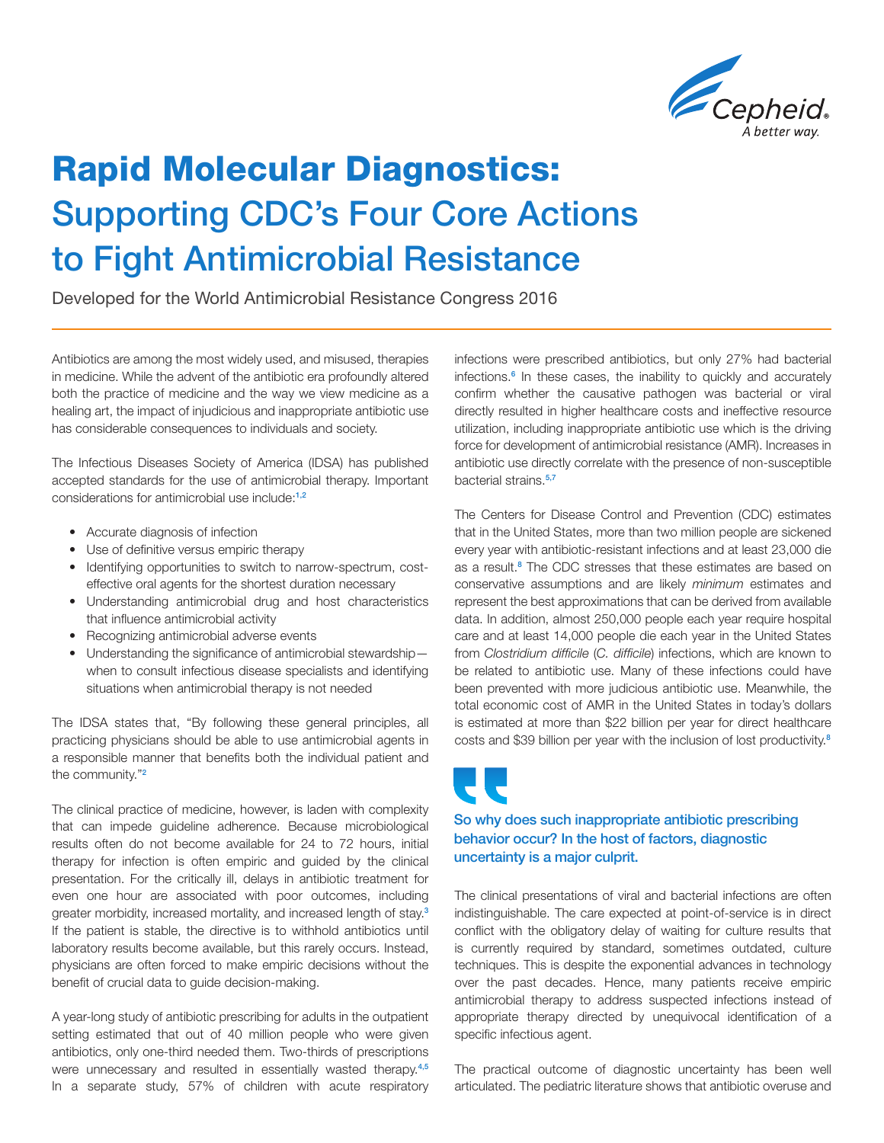

## Rapid Molecular Diagnostics: Supporting CDC's Four Core Actions to Fight Antimicrobial Resistance

Developed for the World Antimicrobial Resistance Congress 2016

Antibiotics are among the most widely used, and misused, therapies in medicine. While the advent of the antibiotic era profoundly altered both the practice of medicine and the way we view medicine as a healing art, the impact of injudicious and inappropriate antibiotic use has considerable consequences to individuals and society.

The Infectious Diseases Society of America (IDSA) has published accepted standards for the use of antimicrobial therapy. Important considerations for antimicrobial use include:1,2

- Accurate diagnosis of infection
- Use of definitive versus empiric therapy
- Identifying opportunities to switch to narrow-spectrum, costeffective oral agents for the shortest duration necessary
- Understanding antimicrobial drug and host characteristics that influence antimicrobial activity
- Recognizing antimicrobial adverse events
- Understanding the significance of antimicrobial stewardship when to consult infectious disease specialists and identifying situations when antimicrobial therapy is not needed

The IDSA states that, "By following these general principles, all practicing physicians should be able to use antimicrobial agents in a responsible manner that benefits both the individual patient and the community."<sup>2</sup>

The clinical practice of medicine, however, is laden with complexity that can impede guideline adherence. Because microbiological results often do not become available for 24 to 72 hours, initial therapy for infection is often empiric and guided by the clinical presentation. For the critically ill, delays in antibiotic treatment for even one hour are associated with poor outcomes, including greater morbidity, increased mortality, and increased length of stay.<sup>3</sup> If the patient is stable, the directive is to withhold antibiotics until laboratory results become available, but this rarely occurs. Instead, physicians are often forced to make empiric decisions without the benefit of crucial data to guide decision-making.

A year-long study of antibiotic prescribing for adults in the outpatient setting estimated that out of 40 million people who were given antibiotics, only one-third needed them. Two-thirds of prescriptions were unnecessary and resulted in essentially wasted therapy.<sup>4,5</sup> In a separate study, 57% of children with acute respiratory infections were prescribed antibiotics, but only 27% had bacterial infections.<sup>6</sup> In these cases, the inability to quickly and accurately confirm whether the causative pathogen was bacterial or viral directly resulted in higher healthcare costs and ineffective resource utilization, including inappropriate antibiotic use which is the driving force for development of antimicrobial resistance (AMR). Increases in antibiotic use directly correlate with the presence of non-susceptible bacterial strains.5,7

The Centers for Disease Control and Prevention (CDC) estimates that in the United States, more than two million people are sickened every year with antibiotic-resistant infections and at least 23,000 die as a result.<sup>8</sup> The CDC stresses that these estimates are based on conservative assumptions and are likely *minimum* estimates and represent the best approximations that can be derived from available data. In addition, almost 250,000 people each year require hospital care and at least 14,000 people die each year in the United States from *Clostridium difficile* (*C. difficile*) infections, which are known to be related to antibiotic use. Many of these infections could have been prevented with more judicious antibiotic use. Meanwhile, the total economic cost of AMR in the United States in today's dollars is estimated at more than \$22 billion per year for direct healthcare costs and \$39 billion per year with the inclusion of lost productivity.<sup>8</sup>

# $\overline{\phantom{a}}$

#### So why does such inappropriate antibiotic prescribing behavior occur? In the host of factors, diagnostic uncertainty is a major culprit.

The clinical presentations of viral and bacterial infections are often indistinguishable. The care expected at point-of-service is in direct conflict with the obligatory delay of waiting for culture results that is currently required by standard, sometimes outdated, culture techniques. This is despite the exponential advances in technology over the past decades. Hence, many patients receive empiric antimicrobial therapy to address suspected infections instead of appropriate therapy directed by unequivocal identification of a specific infectious agent.

The practical outcome of diagnostic uncertainty has been well articulated. The pediatric literature shows that antibiotic overuse and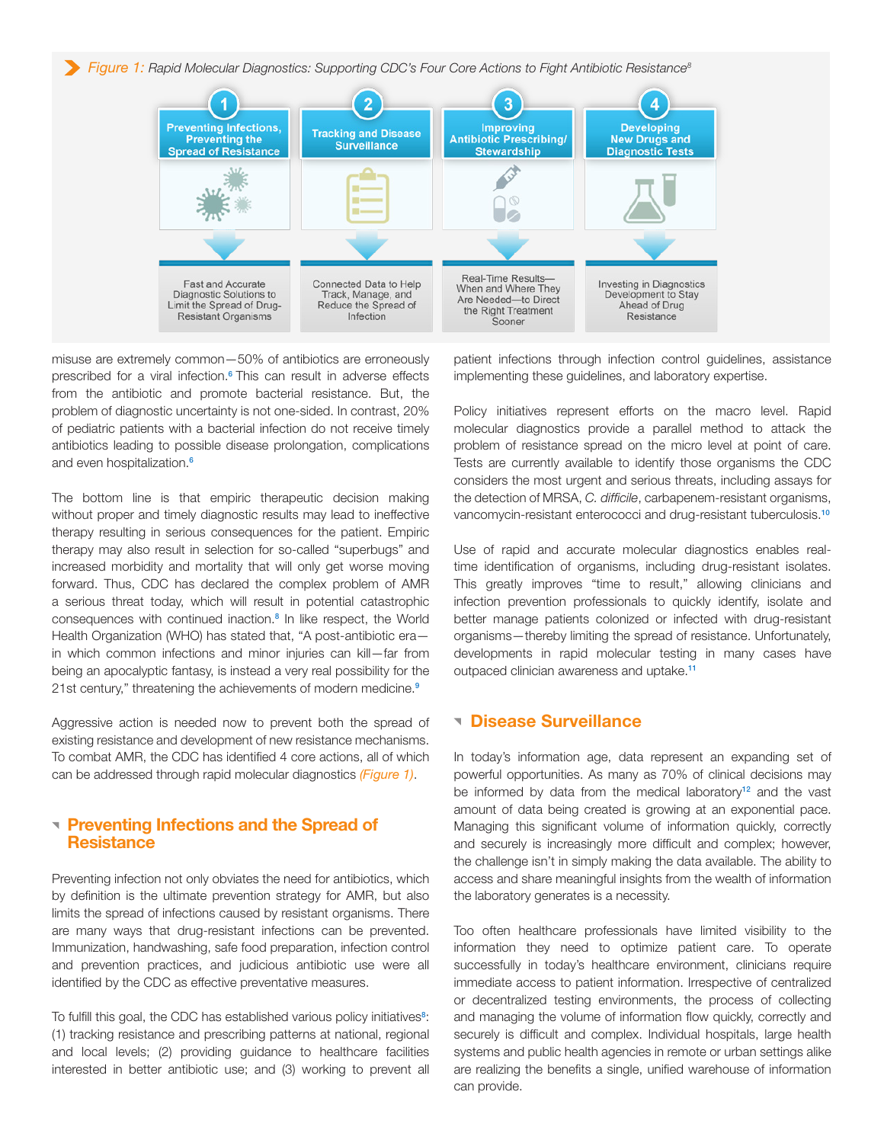*Figure 1: Rapid Molecular Diagnostics: Supporting CDC's Four Core Actions to Fight Antibiotic Resistance8*



misuse are extremely common—50% of antibiotics are erroneously prescribed for a viral infection.<sup>6</sup> This can result in adverse effects from the antibiotic and promote bacterial resistance. But, the problem of diagnostic uncertainty is not one-sided. In contrast, 20% of pediatric patients with a bacterial infection do not receive timely antibiotics leading to possible disease prolongation, complications and even hospitalization.<sup>6</sup>

The bottom line is that empiric therapeutic decision making without proper and timely diagnostic results may lead to ineffective therapy resulting in serious consequences for the patient. Empiric therapy may also result in selection for so-called "superbugs" and increased morbidity and mortality that will only get worse moving forward. Thus, CDC has declared the complex problem of AMR a serious threat today, which will result in potential catastrophic consequences with continued inaction.<sup>8</sup> In like respect, the World Health Organization (WHO) has stated that, "A post-antibiotic era in which common infections and minor injuries can kill—far from being an apocalyptic fantasy, is instead a very real possibility for the 21st century," threatening the achievements of modern medicine.<sup>9</sup>

Aggressive action is needed now to prevent both the spread of existing resistance and development of new resistance mechanisms. To combat AMR, the CDC has identified 4 core actions, all of which can be addressed through rapid molecular diagnostics *(Figure 1)*.

#### **Preventing Infections and the Spread of Resistance**

Preventing infection not only obviates the need for antibiotics, which by definition is the ultimate prevention strategy for AMR, but also limits the spread of infections caused by resistant organisms. There are many ways that drug-resistant infections can be prevented. Immunization, handwashing, safe food preparation, infection control and prevention practices, and judicious antibiotic use were all identified by the CDC as effective preventative measures.

To fulfill this goal, the CDC has established various policy initiatives<sup>8</sup>: (1) tracking resistance and prescribing patterns at national, regional and local levels; (2) providing guidance to healthcare facilities interested in better antibiotic use; and (3) working to prevent all

patient infections through infection control guidelines, assistance implementing these guidelines, and laboratory expertise.

Policy initiatives represent efforts on the macro level. Rapid molecular diagnostics provide a parallel method to attack the problem of resistance spread on the micro level at point of care. Tests are currently available to identify those organisms the CDC considers the most urgent and serious threats, including assays for the detection of MRSA, *C. difficile*, carbapenem-resistant organisms, vancomycin-resistant enterococci and drug-resistant tuberculosis.<sup>10</sup>

Use of rapid and accurate molecular diagnostics enables realtime identification of organisms, including drug-resistant isolates. This greatly improves "time to result," allowing clinicians and infection prevention professionals to quickly identify, isolate and better manage patients colonized or infected with drug-resistant organisms—thereby limiting the spread of resistance. Unfortunately, developments in rapid molecular testing in many cases have outpaced clinician awareness and uptake.<sup>11</sup>

#### Disease Surveillance

In today's information age, data represent an expanding set of powerful opportunities. As many as 70% of clinical decisions may be informed by data from the medical laboratory<sup>12</sup> and the vast amount of data being created is growing at an exponential pace. Managing this significant volume of information quickly, correctly and securely is increasingly more difficult and complex; however, the challenge isn't in simply making the data available. The ability to access and share meaningful insights from the wealth of information the laboratory generates is a necessity.

Too often healthcare professionals have limited visibility to the information they need to optimize patient care. To operate successfully in today's healthcare environment, clinicians require immediate access to patient information. Irrespective of centralized or decentralized testing environments, the process of collecting and managing the volume of information flow quickly, correctly and securely is difficult and complex. Individual hospitals, large health systems and public health agencies in remote or urban settings alike are realizing the benefits a single, unified warehouse of information can provide.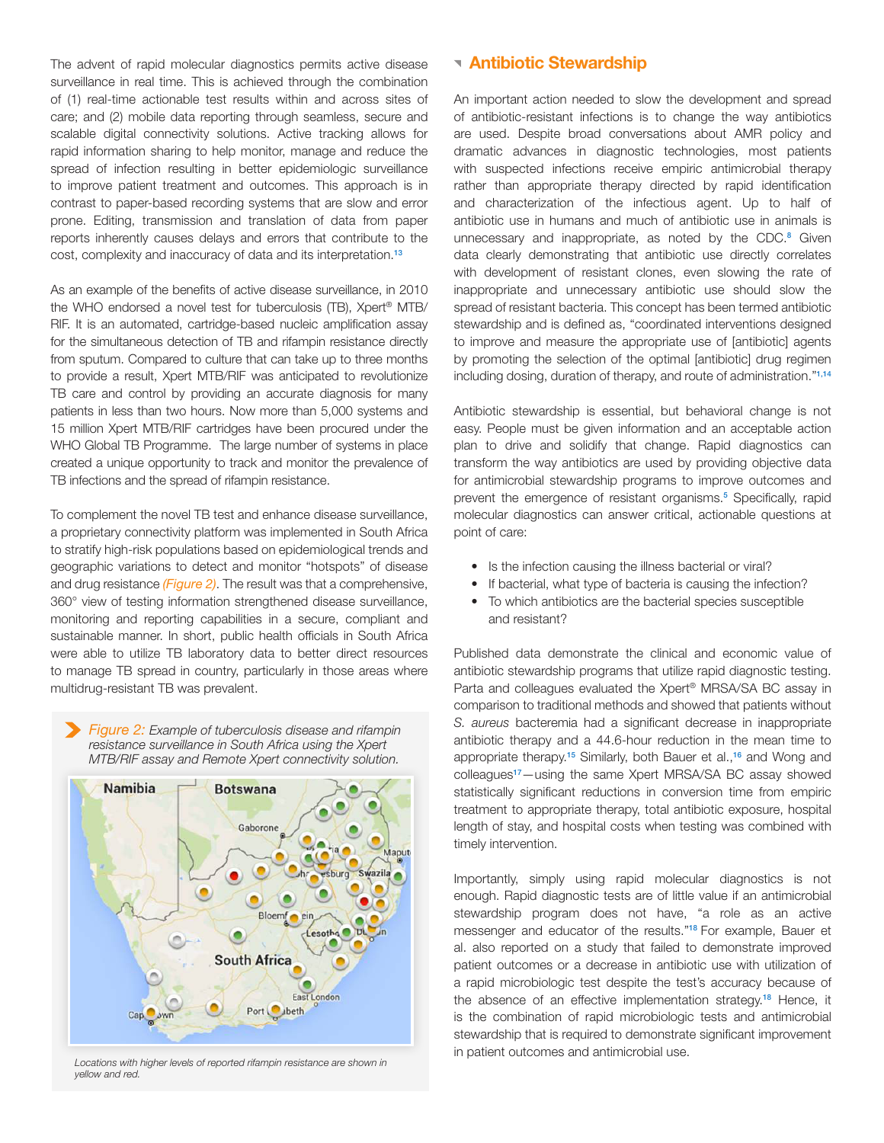The advent of rapid molecular diagnostics permits active disease surveillance in real time. This is achieved through the combination of (1) real-time actionable test results within and across sites of care; and (2) mobile data reporting through seamless, secure and scalable digital connectivity solutions. Active tracking allows for rapid information sharing to help monitor, manage and reduce the spread of infection resulting in better epidemiologic surveillance to improve patient treatment and outcomes. This approach is in contrast to paper-based recording systems that are slow and error prone. Editing, transmission and translation of data from paper reports inherently causes delays and errors that contribute to the cost, complexity and inaccuracy of data and its interpretation.<sup>13</sup>

As an example of the benefits of active disease surveillance, in 2010 the WHO endorsed a novel test for tuberculosis (TB), Xpert® MTB/ RIF. It is an automated, cartridge-based nucleic amplification assay for the simultaneous detection of TB and rifampin resistance directly from sputum. Compared to culture that can take up to three months to provide a result, Xpert MTB/RIF was anticipated to revolutionize TB care and control by providing an accurate diagnosis for many patients in less than two hours. Now more than 5,000 systems and 15 million Xpert MTB/RIF cartridges have been procured under the WHO Global TB Programme. The large number of systems in place created a unique opportunity to track and monitor the prevalence of TB infections and the spread of rifampin resistance.

To complement the novel TB test and enhance disease surveillance, a proprietary connectivity platform was implemented in South Africa to stratify high-risk populations based on epidemiological trends and geographic variations to detect and monitor "hotspots" of disease and drug resistance *(Figure 2)*. The result was that a comprehensive, 360° view of testing information strengthened disease surveillance, monitoring and reporting capabilities in a secure, compliant and sustainable manner. In short, public health officials in South Africa were able to utilize TB laboratory data to better direct resources to manage TB spread in country, particularly in those areas where multidrug-resistant TB was prevalent.

 *Figure 2: Example of tuberculosis disease and rifampin resistance surveillance in South Africa using the Xpert MTB/RIF assay and Remote Xpert connectivity solution.* 



Locations with higher levels of reported rifampin resistance are shown in *yellow and red.*

#### Antibiotic Stewardship

An important action needed to slow the development and spread of antibiotic-resistant infections is to change the way antibiotics are used. Despite broad conversations about AMR policy and dramatic advances in diagnostic technologies, most patients with suspected infections receive empiric antimicrobial therapy rather than appropriate therapy directed by rapid identification and characterization of the infectious agent. Up to half of antibiotic use in humans and much of antibiotic use in animals is unnecessary and inappropriate, as noted by the CDC.<sup>8</sup> Given data clearly demonstrating that antibiotic use directly correlates with development of resistant clones, even slowing the rate of inappropriate and unnecessary antibiotic use should slow the spread of resistant bacteria. This concept has been termed antibiotic stewardship and is defined as, "coordinated interventions designed to improve and measure the appropriate use of [antibiotic] agents by promoting the selection of the optimal [antibiotic] drug regimen including dosing, duration of therapy, and route of administration."1,14

Antibiotic stewardship is essential, but behavioral change is not easy. People must be given information and an acceptable action plan to drive and solidify that change. Rapid diagnostics can transform the way antibiotics are used by providing objective data for antimicrobial stewardship programs to improve outcomes and prevent the emergence of resistant organisms.<sup>5</sup> Specifically, rapid molecular diagnostics can answer critical, actionable questions at point of care:

- Is the infection causing the illness bacterial or viral?
- If bacterial, what type of bacteria is causing the infection? • To which antibiotics are the bacterial species susceptible
- and resistant?

Published data demonstrate the clinical and economic value of antibiotic stewardship programs that utilize rapid diagnostic testing. Parta and colleagues evaluated the Xpert® MRSA/SA BC assay in comparison to traditional methods and showed that patients without *S. aureus* bacteremia had a significant decrease in inappropriate antibiotic therapy and a 44.6-hour reduction in the mean time to appropriate therapy.<sup>15</sup> Similarly, both Bauer et al.,<sup>16</sup> and Wong and colleagues<sup>17</sup>—using the same Xpert MRSA/SA BC assay showed statistically significant reductions in conversion time from empiric treatment to appropriate therapy, total antibiotic exposure, hospital length of stay, and hospital costs when testing was combined with timely intervention.

Importantly, simply using rapid molecular diagnostics is not enough. Rapid diagnostic tests are of little value if an antimicrobial stewardship program does not have, "a role as an active messenger and educator of the results."18 For example, Bauer et al. also reported on a study that failed to demonstrate improved patient outcomes or a decrease in antibiotic use with utilization of a rapid microbiologic test despite the test's accuracy because of the absence of an effective implementation strategy.<sup>18</sup> Hence, it is the combination of rapid microbiologic tests and antimicrobial stewardship that is required to demonstrate significant improvement in patient outcomes and antimicrobial use.